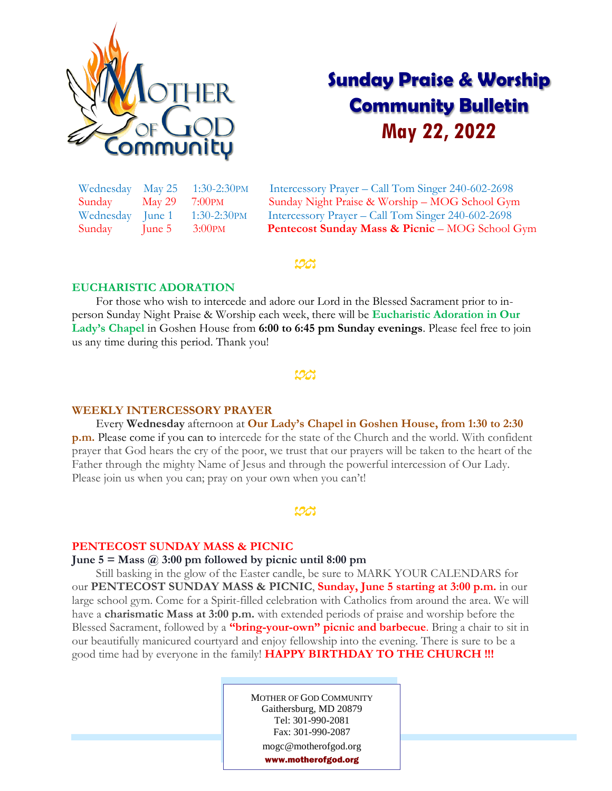

# **Sunday Praise & Worship Community Bulletin May 22, 2022**

| Wednesday | May 25    | $1:30-2:30$ PM     |
|-----------|-----------|--------------------|
| Sunday    | May 29    | 7:00 <sub>PM</sub> |
| Wednesday | $ $ une 1 | 1:30-2:30PM        |
| Sunday    | June 5    | 3:00 <sub>PM</sub> |

Intercessory Prayer – Call Tom Singer 240-602-2698 Sunday Night Praise & Worship – MOG School Gym Intercessory Prayer – Call Tom Singer 240-602-2698 Pentecost Sunday Mass & Picnic – MOG School Gym

# ಊ

# **EUCHARISTIC ADORATION**

 For those who wish to intercede and adore our Lord in the Blessed Sacrament prior to inperson Sunday Night Praise & Worship each week, there will be **Eucharistic Adoration in Our Lady's Chapel** in Goshen House from **6:00 to 6:45 pm Sunday evenings**. Please feel free to join us any time during this period. Thank you!

<u>UA</u>

#### **WEEKLY INTERCESSORY PRAYER**

 Every **Wednesday** afternoon at **Our Lady's Chapel in Goshen House, from 1:30 to 2:30 p.m.** Please come if you can to intercede for the state of the Church and the world. With confident prayer that God hears the cry of the poor, we trust that our prayers will be taken to the heart of the Father through the mighty Name of Jesus and through the powerful intercession of Our Lady. Please join us when you can; pray on your own when you can't!

# ಭದ

#### **PENTECOST SUNDAY MASS & PICNIC**

# **June 5 = Mass @ 3:00 pm followed by picnic until 8:00 pm**

 Still basking in the glow of the Easter candle, be sure to MARK YOUR CALENDARS for our **PENTECOST SUNDAY MASS & PICNIC**, **Sunday, June 5 starting at 3:00 p.m.** in our large school gym. Come for a Spirit-filled celebration with Catholics from around the area. We will have a **charismatic Mass at 3:00 p.m.** with extended periods of praise and worship before the Blessed Sacrament, followed by a **"bring-your-own" picnic and barbecue**. Bring a chair to sit in our beautifully manicured courtyard and enjoy fellowship into the evening. There is sure to be a good time had by everyone in the family! **HAPPY BIRTHDAY TO THE CHURCH !!!**

> MOTHER OF GOD COMMUNITY Gaithersburg, MD 20879 Tel: 301-990-2081 Fax: 301-990-2087 mogc@motherofgod.org www.motherofgod.org